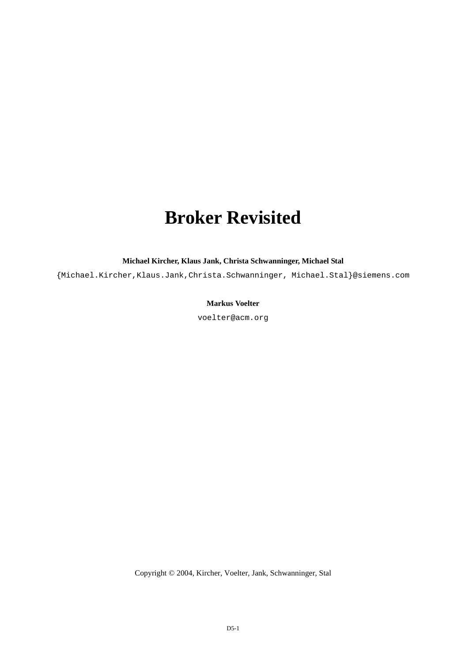# **Broker Revisited**

**Michael Kircher, Klaus Jank, Christa Schwanninger, Michael Stal**

{Michael.Kircher,Klaus.Jank,Christa.Schwanninger, Michael.Stal}@siemens.com

## **Markus Voelter**

voelter@acm.org

Copyright © 2004, Kircher, Voelter, Jank, Schwanninger, Stal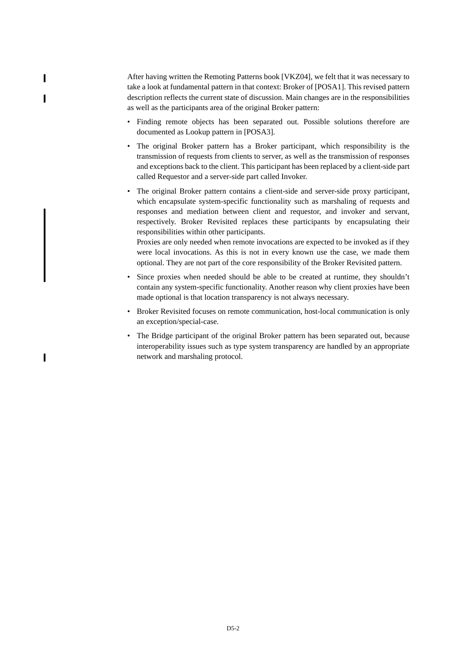After having written the Remoting Patterns book [VKZ04], we felt that it was necessary to take a look at fundamental pattern in that context: Broker of [POSA1]. This revised pattern description reflects the current state of discussion. Main changes are in the responsibilities as well as the participants area of the original Broker pattern:

I

 $\blacksquare$ 

 $\overline{\phantom{a}}$ 

- Finding remote objects has been separated out. Possible solutions therefore are documented as Lookup pattern in [POSA3].
- The original Broker pattern has a Broker participant, which responsibility is the transmission of requests from clients to server, as well as the transmission of responses and exceptions back to the client. This participant has been replaced by a client-side part called Requestor and a server-side part called Invoker.
- The original Broker pattern contains a client-side and server-side proxy participant, which encapsulate system-specific functionality such as marshaling of requests and responses and mediation between client and requestor, and invoker and servant, respectively. Broker Revisited replaces these participants by encapsulating their responsibilities within other participants.

Proxies are only needed when remote invocations are expected to be invoked as if they were local invocations. As this is not in every known use the case, we made them optional. They are not part of the core responsibility of the Broker Revisited pattern.

- Since proxies when needed should be able to be created at runtime, they shouldn't contain any system-specific functionality. Another reason why client proxies have been made optional is that location transparency is not always necessary.
- Broker Revisited focuses on remote communication, host-local communication is only an exception/special-case.
- The Bridge participant of the original Broker pattern has been separated out, because interoperability issues such as type system transparency are handled by an appropriate network and marshaling protocol.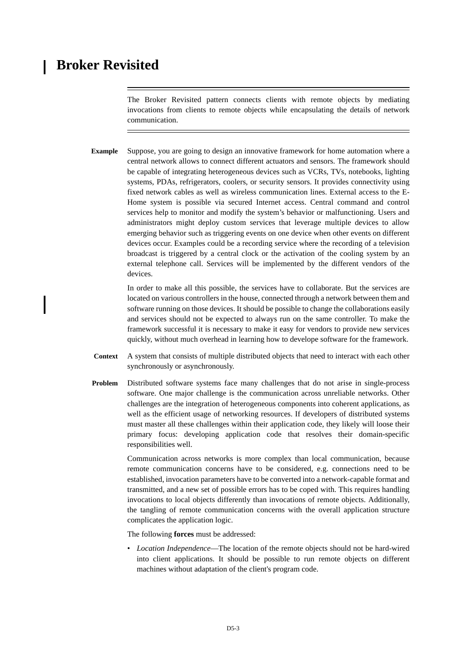## **Broker Revisited**

The Broker Revisited pattern connects clients with remote objects by mediating invocations from clients to remote objects while encapsulating the details of network communication.

**Example** Suppose, you are going to design an innovative framework for home automation where a central network allows to connect different actuators and sensors. The framework should be capable of integrating heterogeneous devices such as VCRs, TVs, notebooks, lighting systems, PDAs, refrigerators, coolers, or security sensors. It provides connectivity using fixed network cables as well as wireless communication lines. External access to the E-Home system is possible via secured Internet access. Central command and control services help to monitor and modify the system's behavior or malfunctioning. Users and administrators might deploy custom services that leverage multiple devices to allow emerging behavior such as triggering events on one device when other events on different devices occur. Examples could be a recording service where the recording of a television broadcast is triggered by a central clock or the activation of the cooling system by an external telephone call. Services will be implemented by the different vendors of the devices.

> In order to make all this possible, the services have to collaborate. But the services are located on various controllers in the house, connected through a network between them and software running on those devices. It should be possible to change the collaborations easily and services should not be expected to always run on the same controller. To make the framework successful it is necessary to make it easy for vendors to provide new services quickly, without much overhead in learning how to develope software for the framework.

- **Context** A system that consists of multiple distributed objects that need to interact with each other synchronously or asynchronously.
- **Problem** Distributed software systems face many challenges that do not arise in single-process software. One major challenge is the communication across unreliable networks. Other challenges are the integration of heterogeneous components into coherent applications, as well as the efficient usage of networking resources. If developers of distributed systems must master all these challenges within their application code, they likely will loose their primary focus: developing application code that resolves their domain-specific responsibilities well.

Communication across networks is more complex than local communication, because remote communication concerns have to be considered, e.g. connections need to be established, invocation parameters have to be converted into a network-capable format and transmitted, and a new set of possible errors has to be coped with. This requires handling invocations to local objects differently than invocations of remote objects. Additionally, the tangling of remote communication concerns with the overall application structure complicates the application logic.

The following **forces** must be addressed:

• *Location Independence*—The location of the remote objects should not be hard-wired into client applications. It should be possible to run remote objects on different machines without adaptation of the client's program code.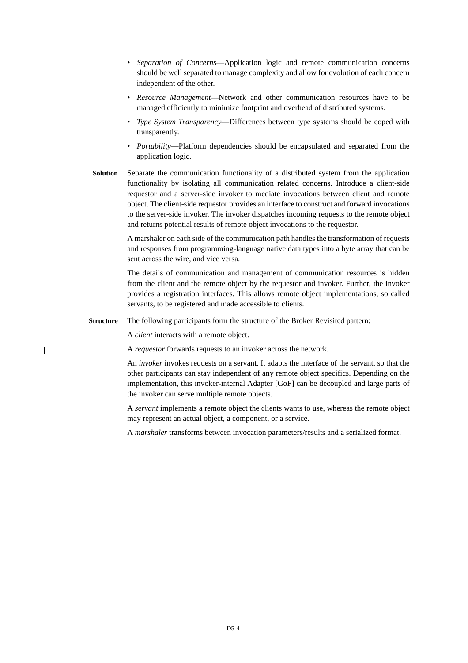- *Separation of Concerns*—Application logic and remote communication concerns should be well separated to manage complexity and allow for evolution of each concern independent of the other.
- *Resource Management*—Network and other communication resources have to be managed efficiently to minimize footprint and overhead of distributed systems.
- *Type System Transparency*—Differences between type systems should be coped with transparently.
- *Portability*—Platform dependencies should be encapsulated and separated from the application logic.
- **Solution** Separate the communication functionality of a distributed system from the application functionality by isolating all communication related concerns. Introduce a client-side requestor and a server-side invoker to mediate invocations between client and remote object. The client-side requestor provides an interface to construct and forward invocations to the server-side invoker. The invoker dispatches incoming requests to the remote object and returns potential results of remote object invocations to the requestor.

A marshaler on each side of the communication path handles the transformation of requests and responses from programming-language native data types into a byte array that can be sent across the wire, and vice versa.

The details of communication and management of communication resources is hidden from the client and the remote object by the requestor and invoker. Further, the invoker provides a registration interfaces. This allows remote object implementations, so called servants, to be registered and made accessible to clients.

**Structure** The following participants form the structure of the Broker Revisited pattern:

A *client* interacts with a remote object.

A *requestor* forwards requests to an invoker across the network.

An *invoker* invokes requests on a servant. It adapts the interface of the servant, so that the other participants can stay independent of any remote object specifics. Depending on the implementation, this invoker-internal Adapter [GoF] can be decoupled and large parts of the invoker can serve multiple remote objects.

A *servant* implements a remote object the clients wants to use, whereas the remote object may represent an actual object, a component, or a service.

A *marshaler* transforms between invocation parameters/results and a serialized format.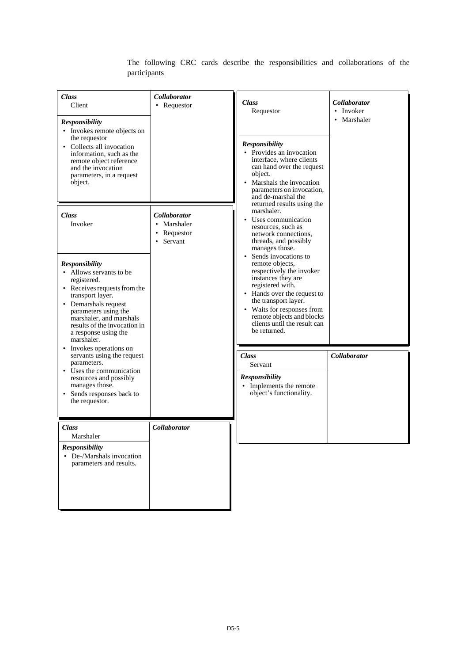| Class<br>Client<br><b>Responsibility</b><br>• Invokes remote objects on<br>the requestor<br>• Collects all invocation<br>information, such as the<br>remote object reference<br>and the invocation<br>parameters, in a request<br>object.                            | <b>Collaborator</b><br>• Requestor                                      | <b>Class</b><br>Requestor<br><b>Responsibility</b><br>• Provides an invocation<br>interface, where clients<br>can hand over the request<br>object.<br>Marshals the invocation<br>parameters on invocation,<br>and de-marshal the                        | <b>Collaborator</b><br>• Invoker<br>Marshaler<br>$\bullet$ |
|----------------------------------------------------------------------------------------------------------------------------------------------------------------------------------------------------------------------------------------------------------------------|-------------------------------------------------------------------------|---------------------------------------------------------------------------------------------------------------------------------------------------------------------------------------------------------------------------------------------------------|------------------------------------------------------------|
| Class<br>Invoker                                                                                                                                                                                                                                                     | <b>Collaborator</b><br>• Marshaler<br>Requestor<br>Servant<br>$\bullet$ | returned results using the<br>marshaler.<br>Uses communication<br>resources, such as<br>network connections,<br>threads, and possibly<br>manages those.<br>Sends invocations to                                                                         |                                                            |
| <b>Responsibility</b><br>• Allows servants to be<br>registered.<br>• Receives requests from the<br>transport layer.<br>• Demarshals request<br>parameters using the<br>marshaler, and marshals<br>results of the invocation in<br>a response using the<br>marshaler. |                                                                         | remote objects,<br>respectively the invoker<br>instances they are<br>registered with.<br>• Hands over the request to<br>the transport layer.<br>• Waits for responses from<br>remote objects and blocks<br>clients until the result can<br>be returned. |                                                            |
| • Invokes operations on<br>servants using the request<br>parameters.<br>• Uses the communication<br>resources and possibly<br>manages those.<br>• Sends responses back to<br>the requestor.                                                                          |                                                                         | <b>Class</b><br>Servant<br><b>Responsibility</b><br>• Implements the remote<br>object's functionality.                                                                                                                                                  | <b>Collaborator</b>                                        |
| <b>Class</b><br>Marshaler<br><b>Responsibility</b><br>• De-/Marshals invocation<br>parameters and results.                                                                                                                                                           | <b>Collaborator</b>                                                     |                                                                                                                                                                                                                                                         |                                                            |

The following CRC cards describe the responsibilities and collaborations of the participants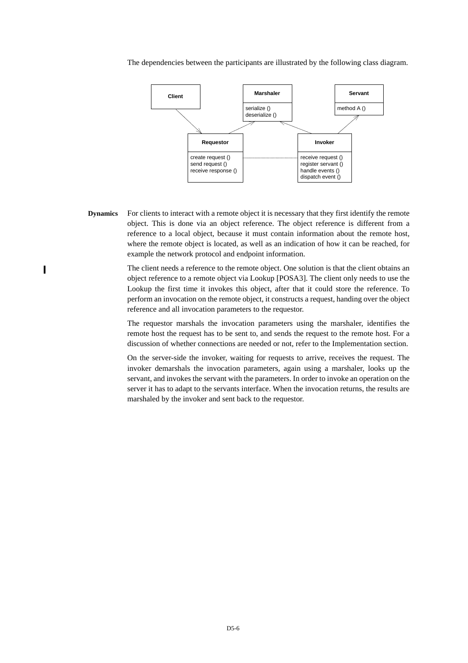The dependencies between the participants are illustrated by the following class diagram.



**Dynamics** For clients to interact with a remote object it is necessary that they first identify the remote object. This is done via an object reference. The object reference is different from a reference to a local object, because it must contain information about the remote host, where the remote object is located, as well as an indication of how it can be reached, for example the network protocol and endpoint information.

> The client needs a reference to the remote object. One solution is that the client obtains an object reference to a remote object via Lookup [POSA3]. The client only needs to use the Lookup the first time it invokes this object, after that it could store the reference. To perform an invocation on the remote object, it constructs a request, handing over the object reference and all invocation parameters to the requestor.

The requestor marshals the invocation parameters using the marshaler, identifies the remote host the request has to be sent to, and sends the request to the remote host. For a discussion of whether connections are needed or not, refer to the Implementation section.

On the server-side the invoker, waiting for requests to arrive, receives the request. The invoker demarshals the invocation parameters, again using a marshaler, looks up the servant, and invokes the servant with the parameters. In order to invoke an operation on the server it has to adapt to the servants interface. When the invocation returns, the results are marshaled by the invoker and sent back to the requestor.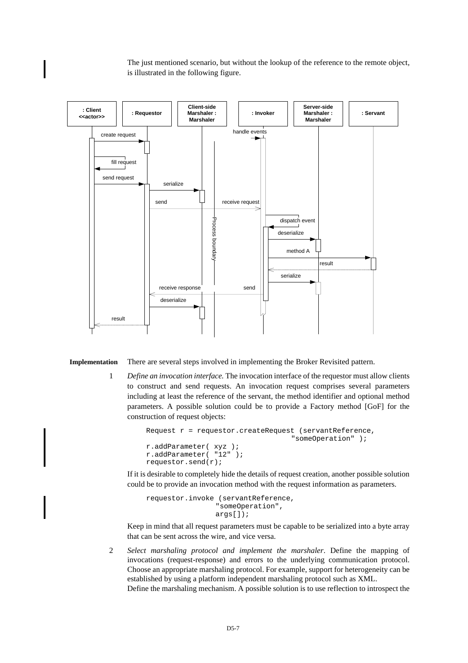The just mentioned scenario, but without the lookup of the reference to the remote object, is illustrated in the following figure.



**Implementation** There are several steps involved in implementing the Broker Revisited pattern.

1 *Define an invocation interface.* The invocation interface of the requestor must allow clients to construct and send requests. An invocation request comprises several parameters including at least the reference of the servant, the method identifier and optional method parameters. A possible solution could be to provide a Factory method [GoF] for the construction of request objects:

```
Request r = requestor.createRequest (servantReference,
                                    "someOperation" );
r.addParameter( xyz );
r.addParameter( "12" );
requestor.send(r);
```
If it is desirable to completely hide the details of request creation, another possible solution could be to provide an invocation method with the request information as parameters.

```
requestor.invoke (servantReference,
                 "someOperation",
                 args[]);
```
Keep in mind that all request parameters must be capable to be serialized into a byte array that can be sent across the wire, and vice versa.

2 *Select marshaling protocol and implement the marshaler*. Define the mapping of invocations (request-response) and errors to the underlying communication protocol. Choose an appropriate marshaling protocol. For example, support for heterogeneity can be established by using a platform independent marshaling protocol such as XML.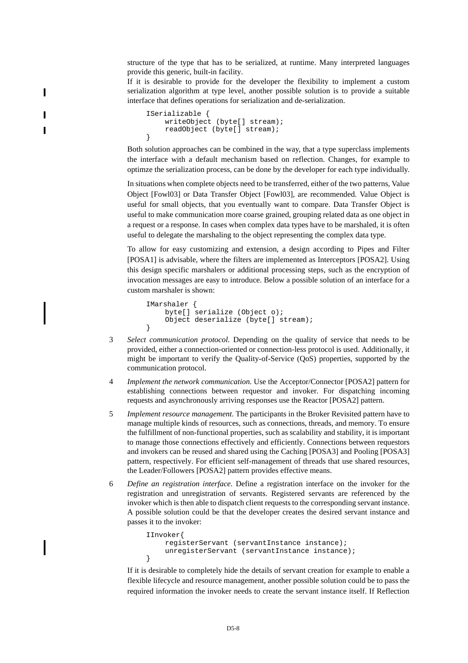structure of the type that has to be serialized, at runtime. Many interpreted languages provide this generic, built-in facility.

If it is desirable to provide for the developer the flexibility to implement a custom serialization algorithm at type level, another possible solution is to provide a suitable interface that defines operations for serialization and de-serialization.

```
ISerializable {
    writeObject (byte[] stream);
    readObject (byte[] stream);
}
```
Both solution approaches can be combined in the way, that a type superclass implements the interface with a default mechanism based on reflection. Changes, for example to optimze the serialization process, can be done by the developer for each type individually.

In situations when complete objects need to be transferred, either of the two patterns, Value Object [Fowl03] or Data Transfer Object [Fowl03], are recommended. Value Object is useful for small objects, that you eventually want to compare. Data Transfer Object is useful to make communication more coarse grained, grouping related data as one object in a request or a response. In cases when complex data types have to be marshaled, it is often useful to delegate the marshaling to the object representing the complex data type.

To allow for easy customizing and extension, a design according to Pipes and Filter [POSA1] is advisable, where the filters are implemented as Interceptors [POSA2]. Using this design specific marshalers or additional processing steps, such as the encryption of invocation messages are easy to introduce. Below a possible solution of an interface for a custom marshaler is shown:

```
IMarshaler {
    byte[] serialize (Object o);
    Object deserialize (byte[] stream);
}
```
- 3 *Select communication protocol.* Depending on the quality of service that needs to be provided, either a connection-oriented or connection-less protocol is used. Additionally, it might be important to verify the Quality-of-Service (QoS) properties, supported by the communication protocol.
- 4 *Implement the network communication.* Use the Acceptor/Connector [POSA2] pattern for establishing connections between requestor and invoker. For dispatching incoming requests and asynchronously arriving responses use the Reactor [POSA2] pattern.
- 5 *Implement resource management*. The participants in the Broker Revisited pattern have to manage multiple kinds of resources, such as connections, threads, and memory. To ensure the fulfillment of non-functional properties, such as scalability and stability, it is important to manage those connections effectively and efficiently. Connections between requestors and invokers can be reused and shared using the Caching [POSA3] and Pooling [POSA3] pattern, respectively. For efficient self-management of threads that use shared resources, the Leader/Followers [POSA2] pattern provides effective means.
- 6 *Define an registration interface.* Define a registration interface on the invoker for the registration and unregistration of servants. Registered servants are referenced by the invoker which is then able to dispatch client requests to the corresponding servant instance. A possible solution could be that the developer creates the desired servant instance and passes it to the invoker:

```
IInvoker{
    registerServant (servantInstance instance);
    unregisterServant (servantInstance instance);
}
```
If it is desirable to completely hide the details of servant creation for example to enable a flexible lifecycle and resource management, another possible solution could be to pass the required information the invoker needs to create the servant instance itself. If Reflection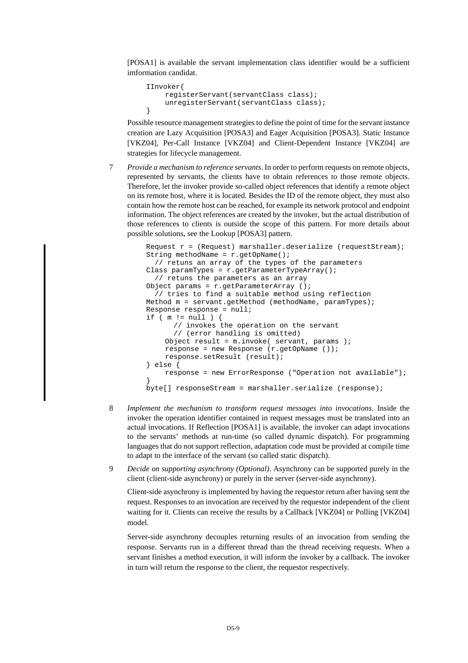[POSA1] is available the servant implementation class identifier would be a sufficient imformation candidat.

```
IInvoker{
    registerServant(servantClass class);
    unregisterServant(servantClass class);
}
```
Possible resource management strategies to define the point of time for the servant instance creation are Lazy Acquisition [POSA3] and Eager Acquisition [POSA3]. Static Instance [VKZ04], Per-Call Instance [VKZ04] and Client-Dependent Instance [VKZ04] are strategies for lifecycle management.

7 *Provide a mechanism to reference servants*. In order to perform requests on remote objects, represented by servants, the clients have to obtain references to those remote objects. Therefore, let the invoker provide so-called object references that identify a remote object on its remote host, where it is located. Besides the ID of the remote object, they must also contain how the remote host can be reached, for example its network protocol and endpoint information. The object references are created by the invoker, but the actual distribution of those references to clients is outside the scope of this pattern. For more details about possible solutions, see the Lookup [POSA3] pattern.

```
Request r = (Request) marshaller.deserialize (requestStream);
String methodName = r.getOpName();
   // retuns an array of the types of the parameters
Class paramTypes = r.getParameterTypeArray();
   // retuns the parameters as an array 
Object params = r.getParameterArray ();
   // tries to find a suitable method using reflection
Method m = servant.getMethod (methodName, paramTypes);
Response response = null;
if ( m := null ) {
       // invokes the operation on the servant
       // (error handling is omitted)
    Object result = m.invoke( servant, params )iresponse = new Response (r.getOpName ());
    response.setResult (result);
} else {
    response = new ErrorResponse ("Operation not available");
}
byte[] responseStream = marshaller.serialize (response);
```
- 8 *Implement the mechanism to transform request messages into invocations*. Inside the invoker the operation identifier contained in request messages must be translated into an actual invocations. If Reflection [POSA1] is available, the invoker can adapt invocations to the servants' methods at run-time (so called dynamic dispatch). For programming languages that do not support reflection, adaptation code must be provided at compile time to adapt to the interface of the servant (so called static dispatch).
- 9 *Decide on supporting asynchrony (Optional)*. Asynchrony can be supported purely in the client (client-side asynchrony) or purely in the server (server-side asynchrony).

Client-side asynchrony is implemented by having the requestor return after having sent the request. Responses to an invocation are received by the requestor independent of the client waiting for it. Clients can receive the results by a Callback [VKZ04] or Polling [VKZ04] model.

Server-side asynchrony decouples returning results of an invocation from sending the response. Servants run in a different thread than the thread receiving requests. When a servant finishes a method execution, it will inform the invoker by a callback. The invoker in turn will return the response to the client, the requestor respectively.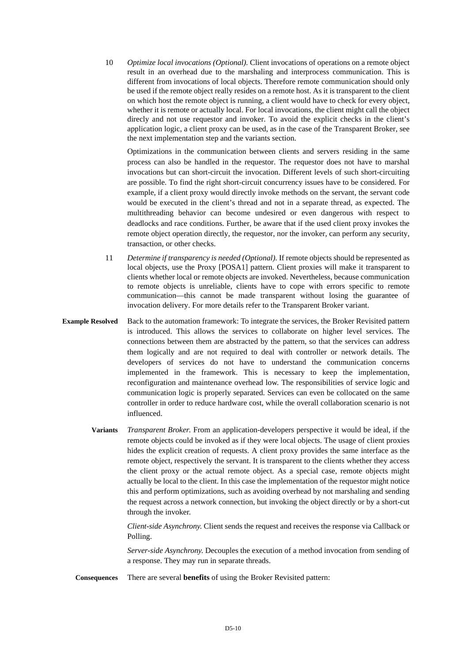10 *Optimize local invocations (Optional).* Client invocations of operations on a remote object result in an overhead due to the marshaling and interprocess communication. This is different from invocations of local objects. Therefore remote communication should only be used if the remote object really resides on a remote host. As it is transparent to the client on which host the remote object is running, a client would have to check for every object, whether it is remote or actually local. For local invocations, the client might call the object direcly and not use requestor and invoker. To avoid the explicit checks in the client's application logic, a client proxy can be used, as in the case of the Transparent Broker, see the next implementation step and the variants section.

Optimizations in the communication between clients and servers residing in the same process can also be handled in the requestor. The requestor does not have to marshal invocations but can short-circuit the invocation. Different levels of such short-circuiting are possible. To find the right short-circuit concurrency issues have to be considered. For example, if a client proxy would directly invoke methods on the servant, the servant code would be executed in the client's thread and not in a separate thread, as expected. The multithreading behavior can become undesired or even dangerous with respect to deadlocks and race conditions. Further, be aware that if the used client proxy invokes the remote object operation directly, the requestor, nor the invoker, can perform any security, transaction, or other checks.

- 11 *Determine if transparency is needed (Optional).* If remote objects should be represented as local objects, use the Proxy [POSA1] pattern. Client proxies will make it transparent to clients whether local or remote objects are invoked. Nevertheless, because communication to remote objects is unreliable, clients have to cope with errors specific to remote communication—this cannot be made transparent without losing the guarantee of invocation delivery. For more details refer to the Transparent Broker variant.
- **Example Resolved** Back to the automation framework: To integrate the services, the Broker Revisited pattern is introduced. This allows the services to collaborate on higher level services. The connections between them are abstracted by the pattern, so that the services can address them logically and are not required to deal with controller or network details. The developers of services do not have to understand the communication concerns implemented in the framework. This is necessary to keep the implementation, reconfiguration and maintenance overhead low. The responsibilities of service logic and communication logic is properly separated. Services can even be collocated on the same controller in order to reduce hardware cost, while the overall collaboration scenario is not influenced.
	- **Variants** *Transparent Broker*. From an application-developers perspective it would be ideal, if the remote objects could be invoked as if they were local objects. The usage of client proxies hides the explicit creation of requests. A client proxy provides the same interface as the remote object, respectively the servant. It is transparent to the clients whether they access the client proxy or the actual remote object. As a special case, remote objects might actually be local to the client. In this case the implementation of the requestor might notice this and perform optimizations, such as avoiding overhead by not marshaling and sending the request across a network connection, but invoking the object directly or by a short-cut through the invoker.

*Client-side Asynchrony*. Client sends the request and receives the response via Callback or Polling.

*Server-side Asynchrony*. Decouples the execution of a method invocation from sending of a response. They may run in separate threads.

**Consequences** There are several **benefits** of using the Broker Revisited pattern: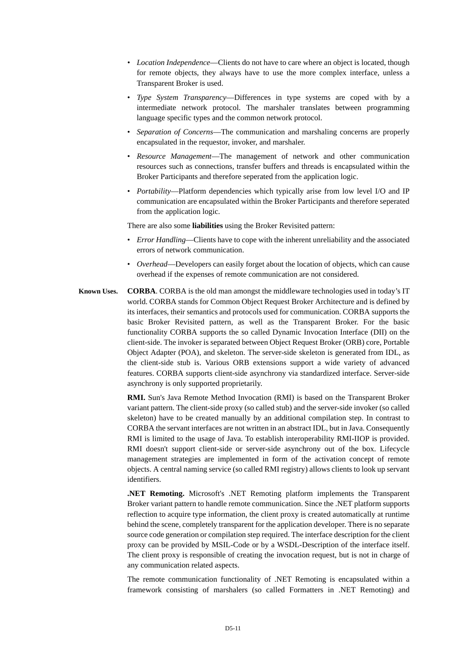- *Location Independence*—Clients do not have to care where an object is located, though for remote objects, they always have to use the more complex interface, unless a Transparent Broker is used.
- *Type System Transparency*—Differences in type systems are coped with by a intermediate network protocol. The marshaler translates between programming language specific types and the common network protocol.
- *Separation of Concerns*—The communication and marshaling concerns are properly encapsulated in the requestor, invoker, and marshaler.
- *Resource Management*—The management of network and other communication resources such as connections, transfer buffers and threads is encapsulated within the Broker Participants and therefore seperated from the application logic.
- *Portability*—Platform dependencies which typically arise from low level I/O and IP communication are encapsulated within the Broker Participants and therefore seperated from the application logic.

There are also some **liabilities** using the Broker Revisited pattern:

- *Error Handling*—Clients have to cope with the inherent unreliability and the associated errors of network communication.
- *Overhead*—Developers can easily forget about the location of objects, which can cause overhead if the expenses of remote communication are not considered.
- **Known Uses. CORBA**. CORBA is the old man amongst the middleware technologies used in today's IT world. CORBA stands for Common Object Request Broker Architecture and is defined by its interfaces, their semantics and protocols used for communication. CORBA supports the basic Broker Revisited pattern, as well as the Transparent Broker. For the basic functionality CORBA supports the so called Dynamic Invocation Interface (DII) on the client-side. The invoker is separated between Object Request Broker (ORB) core, Portable Object Adapter (POA), and skeleton. The server-side skeleton is generated from IDL, as the client-side stub is. Various ORB extensions support a wide variety of advanced features. CORBA supports client-side asynchrony via standardized interface. Server-side asynchrony is only supported proprietarily.

**RMI.** Sun's Java Remote Method Invocation (RMI) is based on the Transparent Broker variant pattern. The client-side proxy (so called stub) and the server-side invoker (so called skeleton) have to be created manually by an additional compilation step. In contrast to CORBA the servant interfaces are not written in an abstract IDL, but in Java. Consequently RMI is limited to the usage of Java. To establish interoperability RMI-IIOP is provided. RMI doesn't support client-side or server-side asynchrony out of the box. Lifecycle management strategies are implemented in form of the activation concept of remote objects. A central naming service (so called RMI registry) allows clients to look up servant identifiers.

**.NET Remoting.** Microsoft's .NET Remoting platform implements the Transparent Broker variant pattern to handle remote communication. Since the .NET platform supports reflection to acquire type information, the client proxy is created automatically at runtime behind the scene, completely transparent for the application developer. There is no separate source code generation or compilation step required. The interface description for the client proxy can be provided by MSIL-Code or by a WSDL-Description of the interface itself. The client proxy is responsible of creating the invocation request, but is not in charge of any communication related aspects.

The remote communication functionality of .NET Remoting is encapsulated within a framework consisting of marshalers (so called Formatters in .NET Remoting) and